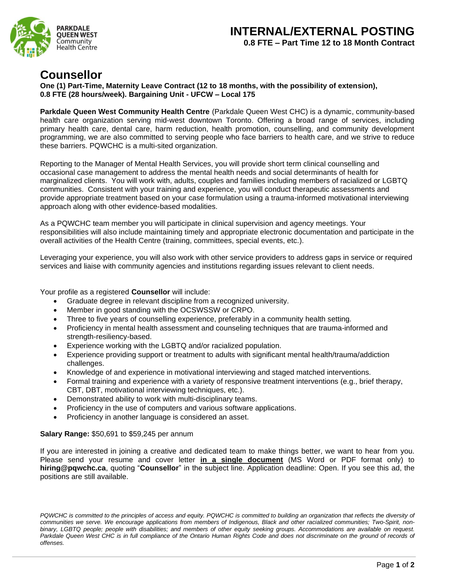## **INTERNAL/EXTERNAL POSTING 0.8 FTE – Part Time 12 to 18 Month Contract**



## **Counsellor**

**One (1) Part-Time, Maternity Leave Contract (12 to 18 months, with the possibility of extension), 0.8 FTE (28 hours/week). Bargaining Unit - UFCW – Local 175**

**Parkdale Queen West Community Health Centre** (Parkdale Queen West CHC) is a dynamic, community-based health care organization serving mid-west downtown Toronto. Offering a broad range of services, including primary health care, dental care, harm reduction, health promotion, counselling, and community development programming, we are also committed to serving people who face barriers to health care, and we strive to reduce these barriers. PQWCHC is a multi-sited organization.

Reporting to the Manager of Mental Health Services, you will provide short term clinical counselling and occasional case management to address the mental health needs and social determinants of health for marginalized clients. You will work with, adults, couples and families including members of racialized or LGBTQ communities. Consistent with your training and experience, you will conduct therapeutic assessments and provide appropriate treatment based on your case formulation using a trauma-informed motivational interviewing approach along with other evidence-based modalities.

As a PQWCHC team member you will participate in clinical supervision and agency meetings. Your responsibilities will also include maintaining timely and appropriate electronic documentation and participate in the overall activities of the Health Centre (training, committees, special events, etc.).

Leveraging your experience, you will also work with other service providers to address gaps in service or required services and liaise with community agencies and institutions regarding issues relevant to client needs.

Your profile as a registered **Counsellor** will include:

- Graduate degree in relevant discipline from a recognized university.
- Member in good standing with the OCSWSSW or CRPO.
- Three to five years of counselling experience, preferably in a community health setting.
- Proficiency in mental health assessment and counseling techniques that are trauma-informed and strength-resiliency-based.
- Experience working with the LGBTQ and/or racialized population.
- Experience providing support or treatment to adults with significant mental health/trauma/addiction challenges.
- Knowledge of and experience in motivational interviewing and staged matched interventions.
- Formal training and experience with a variety of responsive treatment interventions (e.g., brief therapy, CBT, DBT, motivational interviewing techniques, etc.).
- Demonstrated ability to work with multi-disciplinary teams.
- Proficiency in the use of computers and various software applications.
- Proficiency in another language is considered an asset.

## **Salary Range:** \$50,691 to \$59,245 per annum

If you are interested in joining a creative and dedicated team to make things better, we want to hear from you. Please send your resume and cover letter **in a single document** (MS Word or PDF format only) to **hiring@pqwchc.ca**, quoting "**Counsellor**" in the subject line. Application deadline: Open. If you see this ad, the positions are still available.

*PQWCHC is committed to the principles of access and equity. PQWCHC is committed to building an organization that reflects the diversity of communities we serve. We encourage applications from members of Indigenous, Black and other racialized communities; Two-Spirit, nonbinary, LGBTQ people; people with disabilities; and members of other equity seeking groups. Accommodations are available on request. Parkdale Queen West CHC is in full compliance of the Ontario Human Rights Code and does not discriminate on the ground of records of offenses.*